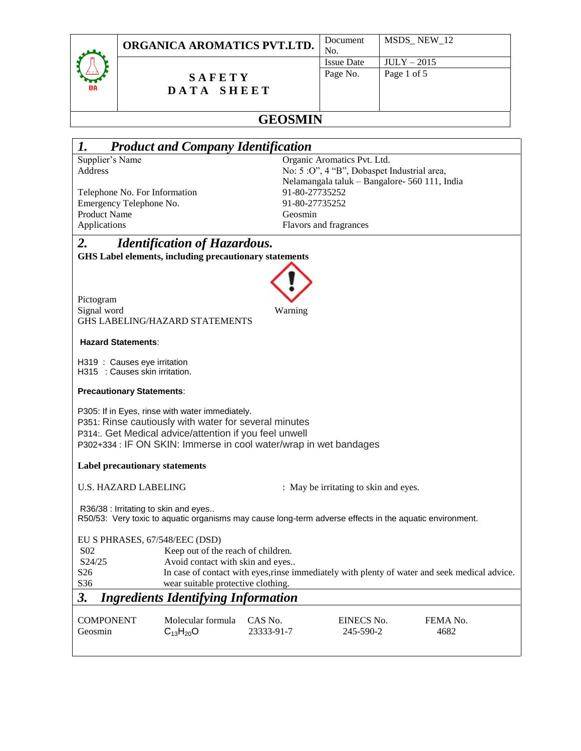

### **S A F E T Y D A T A S H E E T**

|    | Document          | MSDS_NEW_12   |
|----|-------------------|---------------|
| ۰. | No.               |               |
|    | <b>Issue Date</b> | $JULY - 2015$ |
|    | Page No.          | Page 1 of 5   |
|    |                   |               |
|    |                   |               |
|    |                   |               |

# **GEOSMIN**

| 1.                                                                                                                                              | <b>Product and Company Identification</b>                         |            |                                               |                                                                                               |
|-------------------------------------------------------------------------------------------------------------------------------------------------|-------------------------------------------------------------------|------------|-----------------------------------------------|-----------------------------------------------------------------------------------------------|
| Supplier's Name                                                                                                                                 |                                                                   |            | Organic Aromatics Pvt. Ltd.                   |                                                                                               |
| Address                                                                                                                                         |                                                                   |            | No: 5 : O", 4 "B", Dobaspet Industrial area,  |                                                                                               |
|                                                                                                                                                 |                                                                   |            | Nelamangala taluk - Bangalore- 560 111, India |                                                                                               |
| Telephone No. For Information                                                                                                                   |                                                                   |            | 91-80-27735252                                |                                                                                               |
| Emergency Telephone No.                                                                                                                         |                                                                   |            | 91-80-27735252                                |                                                                                               |
| <b>Product Name</b>                                                                                                                             |                                                                   | Geosmin    |                                               |                                                                                               |
| Applications                                                                                                                                    |                                                                   |            | Flavors and fragrances                        |                                                                                               |
| 2.                                                                                                                                              | <b>Identification of Hazardous.</b>                               |            |                                               |                                                                                               |
|                                                                                                                                                 | <b>GHS Label elements, including precautionary statements</b>     |            |                                               |                                                                                               |
|                                                                                                                                                 |                                                                   |            |                                               |                                                                                               |
|                                                                                                                                                 |                                                                   |            |                                               |                                                                                               |
|                                                                                                                                                 |                                                                   |            |                                               |                                                                                               |
| Pictogram<br>Signal word                                                                                                                        |                                                                   | Warning    |                                               |                                                                                               |
|                                                                                                                                                 | <b>GHS LABELING/HAZARD STATEMENTS</b>                             |            |                                               |                                                                                               |
|                                                                                                                                                 |                                                                   |            |                                               |                                                                                               |
| <b>Hazard Statements:</b>                                                                                                                       |                                                                   |            |                                               |                                                                                               |
| H319 : Causes eye irritation                                                                                                                    |                                                                   |            |                                               |                                                                                               |
| H315 : Causes skin irritation.                                                                                                                  |                                                                   |            |                                               |                                                                                               |
|                                                                                                                                                 |                                                                   |            |                                               |                                                                                               |
| <b>Precautionary Statements:</b>                                                                                                                |                                                                   |            |                                               |                                                                                               |
|                                                                                                                                                 | P305: If in Eyes, rinse with water immediately.                   |            |                                               |                                                                                               |
|                                                                                                                                                 | P351: Rinse cautiously with water for several minutes             |            |                                               |                                                                                               |
|                                                                                                                                                 | P314:. Get Medical advice/attention if you feel unwell            |            |                                               |                                                                                               |
|                                                                                                                                                 | P302+334 : IF ON SKIN: Immerse in cool water/wrap in wet bandages |            |                                               |                                                                                               |
|                                                                                                                                                 |                                                                   |            |                                               |                                                                                               |
| <b>Label precautionary statements</b>                                                                                                           |                                                                   |            |                                               |                                                                                               |
|                                                                                                                                                 |                                                                   |            |                                               |                                                                                               |
| <b>U.S. HAZARD LABELING</b><br>: May be irritating to skin and eyes.                                                                            |                                                                   |            |                                               |                                                                                               |
|                                                                                                                                                 |                                                                   |            |                                               |                                                                                               |
| R36/38 : Irritating to skin and eyes<br>R50/53: Very toxic to aquatic organisms may cause long-term adverse effects in the aquatic environment. |                                                                   |            |                                               |                                                                                               |
|                                                                                                                                                 |                                                                   |            |                                               |                                                                                               |
| EU S PHRASES, 67/548/EEC (DSD)                                                                                                                  |                                                                   |            |                                               |                                                                                               |
| S <sub>02</sub>                                                                                                                                 | Keep out of the reach of children.                                |            |                                               |                                                                                               |
| S24/25                                                                                                                                          | Avoid contact with skin and eyes                                  |            |                                               |                                                                                               |
| S <sub>26</sub>                                                                                                                                 |                                                                   |            |                                               | In case of contact with eyes, rinse immediately with plenty of water and seek medical advice. |
| S36                                                                                                                                             | wear suitable protective clothing.                                |            |                                               |                                                                                               |
| 3.<br><b>Ingredients Identifying Information</b>                                                                                                |                                                                   |            |                                               |                                                                                               |
|                                                                                                                                                 |                                                                   |            |                                               |                                                                                               |
| <b>COMPONENT</b>                                                                                                                                | Molecular formula                                                 | CAS No.    | EINECS No.                                    | FEMA No.                                                                                      |
| Geosmin                                                                                                                                         | $C_{13}H_{20}O$                                                   | 23333-91-7 | 245-590-2                                     | 4682                                                                                          |
|                                                                                                                                                 |                                                                   |            |                                               |                                                                                               |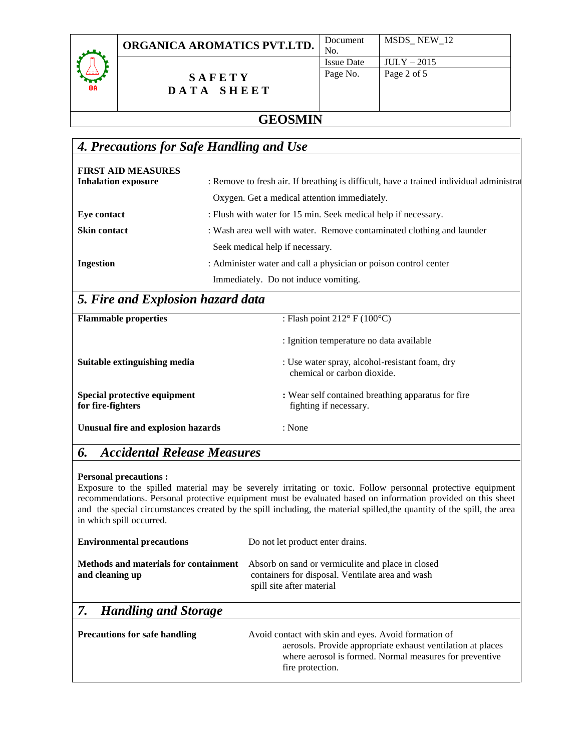

### **S A F E T Y D A T A S H E E T**

| Document          | MSDS_NEW_12   |
|-------------------|---------------|
| No.               |               |
| <b>Issue Date</b> | $JULY - 2015$ |
| Page No.          | Page 2 of 5   |
|                   |               |
|                   |               |
|                   |               |

## **GEOSMIN**

## *4. Precautions for Safe Handling and Use*

| <b>FIRST AID MEASURES</b><br><b>Inhalation exposure</b> | : Remove to fresh air. If breathing is difficult, have a trained individual administra |
|---------------------------------------------------------|----------------------------------------------------------------------------------------|
|                                                         | Oxygen. Get a medical attention immediately.                                           |
| Eye contact                                             | : Flush with water for 15 min. Seek medical help if necessary.                         |
| <b>Skin contact</b>                                     | : Wash area well with water. Remove contaminated clothing and launder                  |
|                                                         | Seek medical help if necessary.                                                        |
| <b>Ingestion</b>                                        | : Administer water and call a physician or poison control center                       |
|                                                         | Immediately. Do not induce vomiting.                                                   |

# *5. Fire and Explosion hazard data*

| <b>Flammable properties</b>                       | : Flash point $212^{\circ}$ F (100 $^{\circ}$ C)                              |
|---------------------------------------------------|-------------------------------------------------------------------------------|
|                                                   | : Ignition temperature no data available                                      |
| Suitable extinguishing media                      | : Use water spray, alcohol-resistant foam, dry<br>chemical or carbon dioxide. |
| Special protective equipment<br>for fire-fighters | : Wear self contained breathing apparatus for fire<br>fighting if necessary.  |
| Unusual fire and explosion hazards                | : None                                                                        |

## *6. Accidental Release Measures*

#### **Personal precautions :**

Exposure to the spilled material may be severely irritating or toxic. Follow personnal protective equipment recommendations. Personal protective equipment must be evaluated based on information provided on this sheet and the special circumstances created by the spill including, the material spilled,the quantity of the spill, the area in which spill occurred.

| <b>Environmental precautions</b>                                | Do not let product enter drains.                                                                                                                                                                   |
|-----------------------------------------------------------------|----------------------------------------------------------------------------------------------------------------------------------------------------------------------------------------------------|
| <b>Methods and materials for containment</b><br>and cleaning up | Absorb on sand or vermiculite and place in closed<br>containers for disposal. Ventilate area and wash<br>spill site after material                                                                 |
| 7.<br><b>Handling and Storage</b>                               |                                                                                                                                                                                                    |
| <b>Precautions for safe handling</b>                            | Avoid contact with skin and eyes. Avoid formation of<br>aerosols. Provide appropriate exhaust ventilation at places<br>where aerosol is formed. Normal measures for preventive<br>fire protection. |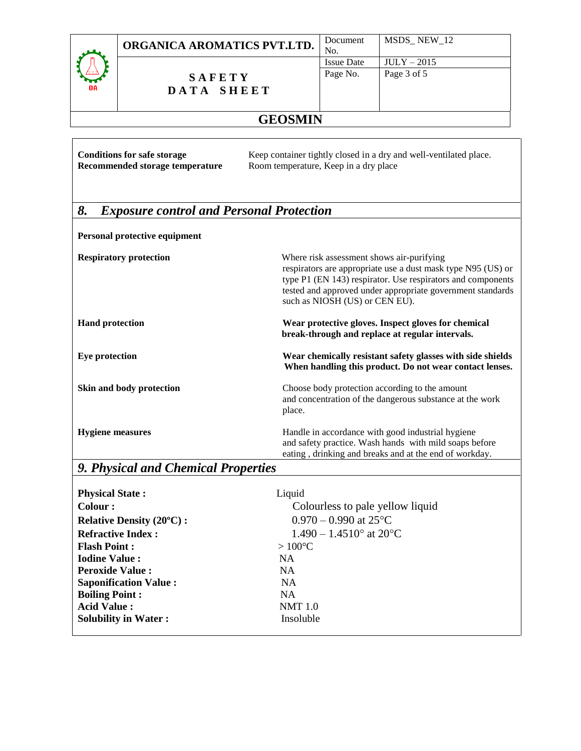|                                                                   | Document |
|-------------------------------------------------------------------|----------|
| ORGANICA AROMATICS PVT.LTD. $\vert_{\text{No}}^{\text{Doc}}\vert$ |          |

MSDS\_ NEW\_12

**S A F E T Y D A T A S H E E T**

# **GEOSMIN**

| <b>Conditions for safe storage</b><br>Recommended storage temperature | Keep container tightly closed in a dry and well-ventilated place.<br>Room temperature, Keep in a dry place                                                                                                                                                               |
|-----------------------------------------------------------------------|--------------------------------------------------------------------------------------------------------------------------------------------------------------------------------------------------------------------------------------------------------------------------|
| 8.<br><b>Exposure control and Personal Protection</b>                 |                                                                                                                                                                                                                                                                          |
| Personal protective equipment                                         |                                                                                                                                                                                                                                                                          |
| <b>Respiratory protection</b>                                         | Where risk assessment shows air-purifying<br>respirators are appropriate use a dust mask type N95 (US) or<br>type P1 (EN 143) respirator. Use respirators and components<br>tested and approved under appropriate government standards<br>such as NIOSH (US) or CEN EU). |
| <b>Hand protection</b>                                                | Wear protective gloves. Inspect gloves for chemical<br>break-through and replace at regular intervals.                                                                                                                                                                   |
| Eye protection                                                        | Wear chemically resistant safety glasses with side shields<br>When handling this product. Do not wear contact lenses.                                                                                                                                                    |
| Skin and body protection                                              | Choose body protection according to the amount<br>and concentration of the dangerous substance at the work<br>place.                                                                                                                                                     |
| <b>Hygiene</b> measures                                               | Handle in accordance with good industrial hygiene<br>and safety practice. Wash hands with mild soaps before<br>eating, drinking and breaks and at the end of workday.                                                                                                    |

# *9. Physical and Chemical Properties*

| <b>Physical State:</b>          | Liquid                           |
|---------------------------------|----------------------------------|
| Colour :                        | Colourless to pale yellow liquid |
| <b>Relative Density (20°C):</b> | $0.970 - 0.990$ at 25°C          |
| <b>Refractive Index:</b>        | $1.490 - 1.4510$ ° at 20°C       |
| <b>Flash Point:</b>             | $>100^{\circ}$ C                 |
| <b>Iodine Value:</b>            | NA.                              |
| <b>Peroxide Value:</b>          | <b>NA</b>                        |
| <b>Saponification Value:</b>    | NA.                              |
| <b>Boiling Point:</b>           | NA.                              |
| <b>Acid Value:</b>              | <b>NMT</b> 1.0                   |
| <b>Solubility in Water:</b>     | Insoluble                        |
|                                 |                                  |

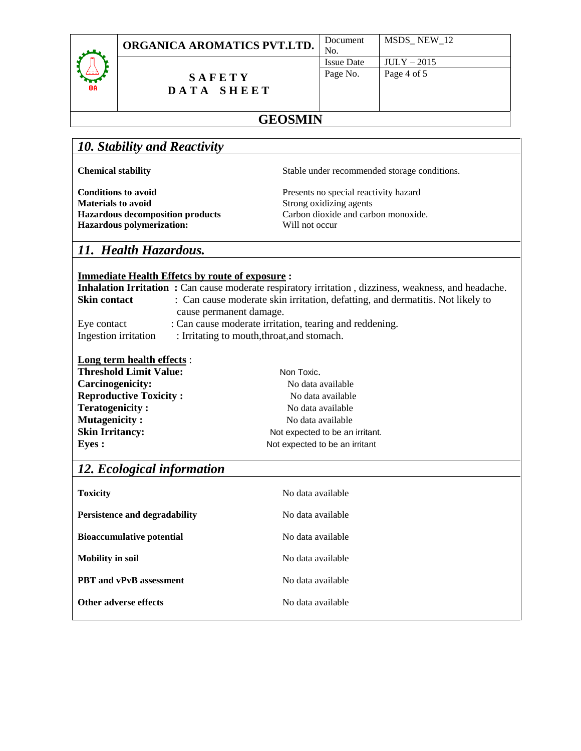

**S A F E T Y D A T A S H E E T**

| MSDS NEW 12   |
|---------------|
|               |
| $JULY - 2015$ |
| Page 4 of 5   |
|               |
|               |
|               |

# **GEOSMIN**

### *10. Stability and Reactivity*

**Materials to avoid** Strong oxidizing agents **Hazardous polymerization:** Will not occur

**Chemical stability** Stable under recommended storage conditions.

**Conditions to avoid** Presents no special reactivity hazard **Hazardous decomposition products** Carbon dioxide and carbon monoxide.

### *11. Health Hazardous.*

### **Immediate Health Effetcs by route of exposure :**

|                      | <b>Inhalation Irritation :</b> Can cause moderate respiratory irritation, dizziness, weakness, and headache. |
|----------------------|--------------------------------------------------------------------------------------------------------------|
| <b>Skin contact</b>  | : Can cause moderate skin irritation, defatting, and dermatitis. Not likely to                               |
|                      | cause permanent damage.                                                                                      |
| Eye contact          | : Can cause moderate irritation, tearing and reddening.                                                      |
| Ingestion irritation | : Irritating to mouth, throat, and stomach.                                                                  |

#### **Long term health effects** :

| <b>Threshold Limit Value:</b> | Non Toxic.                      |
|-------------------------------|---------------------------------|
| Carcinogenicity:              | No data available               |
| <b>Reproductive Toxicity:</b> | No data available               |
| <b>Teratogenicity:</b>        | No data available               |
| <b>Mutagenicity:</b>          | No data available               |
| <b>Skin Irritancy:</b>        | Not expected to be an irritant. |
| <b>Eyes</b> :                 | Not expected to be an irritant  |

### *12. Ecological information*

| No data available |
|-------------------|
| No data available |
| No data available |
| No data available |
| No data available |
| No data available |
|                   |